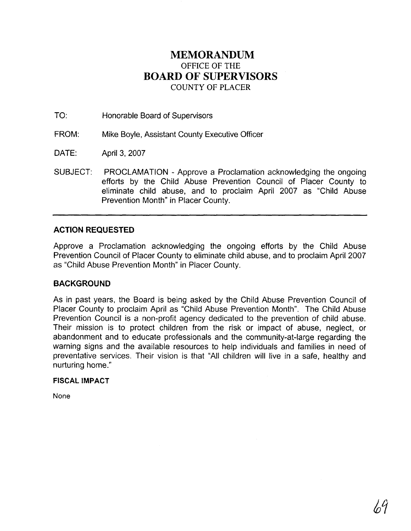# **MEMORANDUM**  OFFICE OF THE **BOARD OF SUPERVISORS**  COUNTY OF PLACER

TO: Honorable Board of Supervisors

FROM: Mike Boyle, Assistant County Executive Officer

DATE: April 3, 2007

SUBJECT: PROCLAMATION - Approve a Proclamation acknowledging the ongoing efforts by the Child Abuse Prevention Council of Placer County to eliminate child abuse, and to proclaim April 2007 as "Child Abuse Prevention Month" in Placer County.

## **ACTION REQUESTED**

Approve a Proclamation acknowledging the ongoing efforts by the Child Abuse Prevention Council of Placer County to eliminate child abuse, and to proclaim April 2007 as "Child Abuse Prevention Month" in Placer County.

## **BACKGROUND**

As in past years, the Board is being asked by the Child Abuse Prevention Council of Placer County to proclaim April as "Child Abuse Prevention Month". The Child Abuse Prevention Council is a non-profit agency dedicated to the prevention of child abuse. Their mission is to protect children from the risk or impact of abuse, neglect, or abandonment and to educate professionals and the community-at-large regarding the warning signs and the available resources to help individuals and families in need of preventative services. Their vision is that "All children will live in a safe, healthy and nurturing home."

#### **FISCAL IMPACT**

None